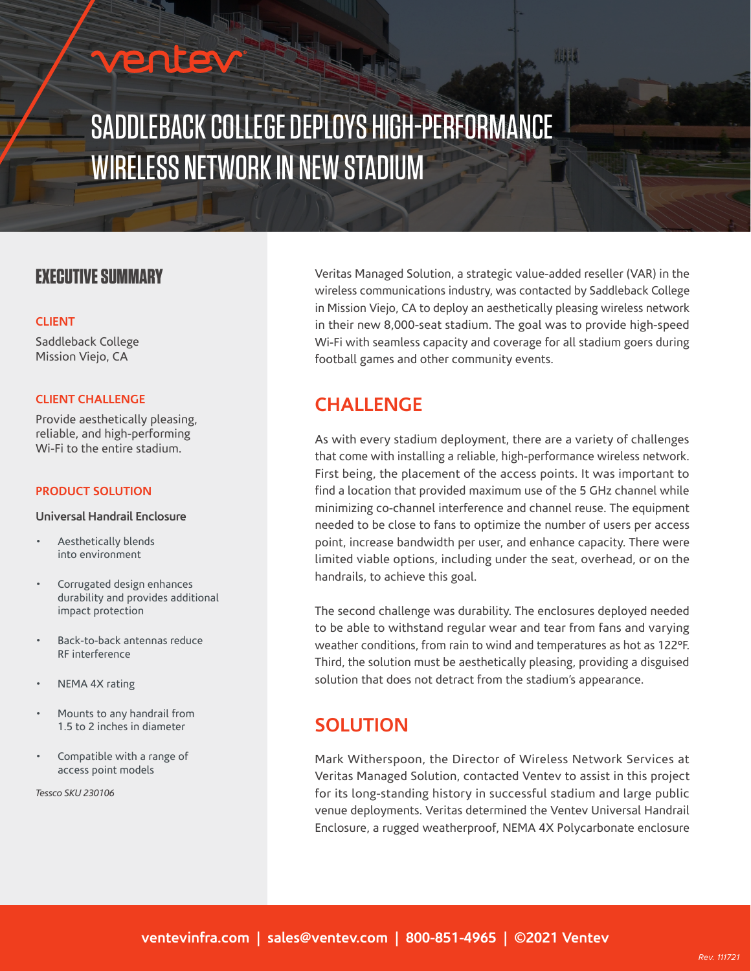## rentev

# SADDLEBACK COLLEGE DEPLOYS HIGH-PERFORMANCE WIRELESS NETWORK IN NEW STADIUM

### **EXECUTIVE SUMMARY**

#### **CLIENT**

Saddleback College Mission Viejo, CA

#### **CLIENT CHALLENGE**

Provide aesthetically pleasing, reliable, and high-performing Wi-Fi to the entire stadium.

#### **PRODUCT SOLUTION**

#### **Universal Handrail Enclosure**

- Aesthetically blends into environment
- Corrugated design enhances durability and provides additional impact protection
- Back-to-back antennas reduce RF interference
- NEMA 4X rating
- Mounts to any handrail from 1.5 to 2 inches in diameter
- Compatible with a range of access point models

*Tessco SKU 230106* 

Veritas Managed Solution, a strategic value-added reseller (VAR) in the wireless communications industry, was contacted by Saddleback College in Mission Viejo, CA to deploy an aesthetically pleasing wireless network in their new 8,000-seat stadium. The goal was to provide high-speed Wi-Fi with seamless capacity and coverage for all stadium goers during football games and other community events.

## **CHALLENGE**

As with every stadium deployment, there are a variety of challenges that come with installing a reliable, high-performance wireless network. First being, the placement of the access points. It was important to find a location that provided maximum use of the 5 GHz channel while minimizing co-channel interference and channel reuse. The equipment needed to be close to fans to optimize the number of users per access point, increase bandwidth per user, and enhance capacity. There were limited viable options, including under the seat, overhead, or on the handrails, to achieve this goal.

The second challenge was durability. The enclosures deployed needed to be able to withstand regular wear and tear from fans and varying weather conditions, from rain to wind and temperatures as hot as 122°F. Third, the solution must be aesthetically pleasing, providing a disguised solution that does not detract from the stadium's appearance.

### **SOLUTION**

Mark Witherspoon, the Director of Wireless Network Services at Veritas Managed Solution, contacted Ventev to assist in this project for its long-standing history in successful stadium and large public venue deployments. Veritas determined the Ventev Universal Handrail Enclosure, a rugged weatherproof, NEMA 4X Polycarbonate enclosure